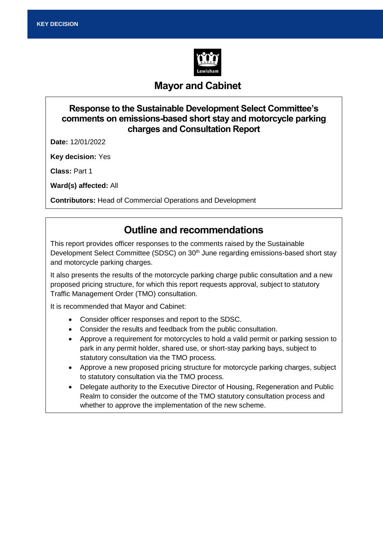

# **Mayor and Cabinet**

### **Response to the Sustainable Development Select Committee's comments on emissions-based short stay and motorcycle parking charges and Consultation Report**

**Date:** 12/01/2022

**Key decision:** Yes

**Class:** Part 1

**Ward(s) affected:** All

**Contributors:** Head of Commercial Operations and Development

# **Outline and recommendations**

This report provides officer responses to the comments raised by the Sustainable Development Select Committee (SDSC) on 30<sup>th</sup> June regarding emissions-based short stay and motorcycle parking charges.

It also presents the results of the motorcycle parking charge public consultation and a new proposed pricing structure, for which this report requests approval, subject to statutory Traffic Management Order (TMO) consultation.

It is recommended that Mayor and Cabinet:

- Consider officer responses and report to the SDSC.
- Consider the results and feedback from the public consultation.
- Approve a requirement for motorcycles to hold a valid permit or parking session to park in any permit holder, shared use, or short-stay parking bays, subject to statutory consultation via the TMO process.
- Approve a new proposed pricing structure for motorcycle parking charges, subject to statutory consultation via the TMO process.
- Delegate authority to the Executive Director of Housing, Regeneration and Public Realm to consider the outcome of the TMO statutory consultation process and whether to approve the implementation of the new scheme.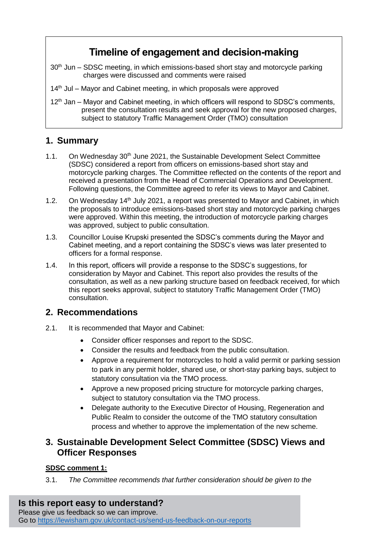# **Timeline of engagement and decision-making**

- 30<sup>th</sup> Jun SDSC meeting, in which emissions-based short stay and motorcycle parking charges were discussed and comments were raised
- 14<sup>th</sup> Jul Mavor and Cabinet meeting, in which proposals were approved
- $12<sup>th</sup>$  Jan Mayor and Cabinet meeting, in which officers will respond to SDSC's comments, present the consultation results and seek approval for the new proposed charges, subject to statutory Traffic Management Order (TMO) consultation

### **1. Summary**

- 1.1. On Wednesday 30<sup>th</sup> June 2021, the Sustainable Development Select Committee (SDSC) considered a report from officers on emissions-based short stay and motorcycle parking charges. The Committee reflected on the contents of the report and received a presentation from the Head of Commercial Operations and Development. Following questions, the Committee agreed to refer its views to Mayor and Cabinet.
- 1.2. On Wednesday 14<sup>th</sup> July 2021, a report was presented to Mayor and Cabinet, in which the proposals to introduce emissions-based short stay and motorcycle parking charges were approved. Within this meeting, the introduction of motorcycle parking charges was approved, subject to public consultation.
- 1.3. Councillor Louise Krupski presented the SDSC's comments during the Mayor and Cabinet meeting, and a report containing the SDSC's views was later presented to officers for a formal response.
- 1.4. In this report, officers will provide a response to the SDSC's suggestions, for consideration by Mayor and Cabinet. This report also provides the results of the consultation, as well as a new parking structure based on feedback received, for which this report seeks approval, subject to statutory Traffic Management Order (TMO) consultation.

### **2. Recommendations**

- 2.1. It is recommended that Mayor and Cabinet:
	- Consider officer responses and report to the SDSC.
	- Consider the results and feedback from the public consultation.
	- Approve a requirement for motorcycles to hold a valid permit or parking session to park in any permit holder, shared use, or short-stay parking bays, subject to statutory consultation via the TMO process.
	- Approve a new proposed pricing structure for motorcycle parking charges, subject to statutory consultation via the TMO process.
	- Delegate authority to the Executive Director of Housing, Regeneration and Public Realm to consider the outcome of the TMO statutory consultation process and whether to approve the implementation of the new scheme.

### **3. Sustainable Development Select Committee (SDSC) Views and Officer Responses**

### **SDSC comment 1:**

3.1. *The Committee recommends that further consideration should be given to the*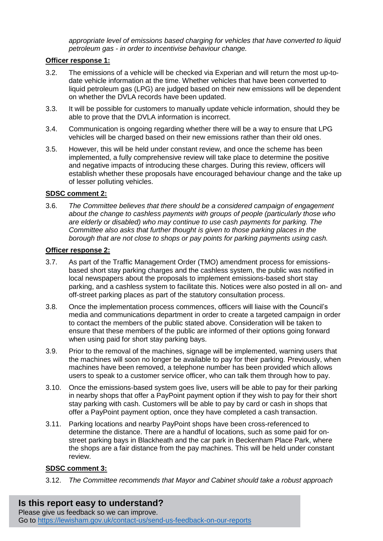*appropriate level of emissions based charging for vehicles that have converted to liquid petroleum gas - in order to incentivise behaviour change.*

#### **Officer response 1:**

- 3.2. The emissions of a vehicle will be checked via Experian and will return the most up-todate vehicle information at the time. Whether vehicles that have been converted to liquid petroleum gas (LPG) are judged based on their new emissions will be dependent on whether the DVLA records have been updated.
- 3.3. It will be possible for customers to manually update vehicle information, should they be able to prove that the DVLA information is incorrect.
- 3.4. Communication is ongoing regarding whether there will be a way to ensure that LPG vehicles will be charged based on their new emissions rather than their old ones.
- 3.5. However, this will be held under constant review, and once the scheme has been implemented, a fully comprehensive review will take place to determine the positive and negative impacts of introducing these charges. During this review, officers will establish whether these proposals have encouraged behaviour change and the take up of lesser polluting vehicles.

### **SDSC comment 2:**

3.6. *The Committee believes that there should be a considered campaign of engagement about the change to cashless payments with groups of people (particularly those who are elderly or disabled) who may continue to use cash payments for parking. The Committee also asks that further thought is given to those parking places in the borough that are not close to shops or pay points for parking payments using cash.*

#### **Officer response 2:**

- 3.7. As part of the Traffic Management Order (TMO) amendment process for emissionsbased short stay parking charges and the cashless system, the public was notified in local newspapers about the proposals to implement emissions-based short stay parking, and a cashless system to facilitate this. Notices were also posted in all on- and off-street parking places as part of the statutory consultation process.
- 3.8. Once the implementation process commences, officers will liaise with the Council's media and communications department in order to create a targeted campaign in order to contact the members of the public stated above. Consideration will be taken to ensure that these members of the public are informed of their options going forward when using paid for short stay parking bays.
- 3.9. Prior to the removal of the machines, signage will be implemented, warning users that the machines will soon no longer be available to pay for their parking. Previously, when machines have been removed, a telephone number has been provided which allows users to speak to a customer service officer, who can talk them through how to pay.
- 3.10. Once the emissions-based system goes live, users will be able to pay for their parking in nearby shops that offer a PayPoint payment option if they wish to pay for their short stay parking with cash. Customers will be able to pay by card or cash in shops that offer a PayPoint payment option, once they have completed a cash transaction.
- 3.11. Parking locations and nearby PayPoint shops have been cross-referenced to determine the distance. There are a handful of locations, such as some paid for onstreet parking bays in Blackheath and the car park in Beckenham Place Park, where the shops are a fair distance from the pay machines. This will be held under constant review.

#### **SDSC comment 3:**

3.12. *The Committee recommends that Mayor and Cabinet should take a robust approach*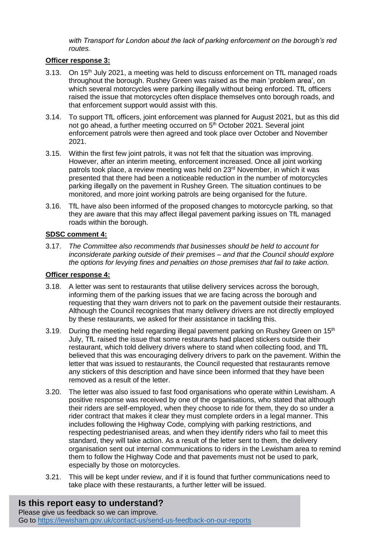*with Transport for London about the lack of parking enforcement on the borough's red routes.*

#### **Officer response 3:**

- 3.13. On 15<sup>th</sup> July 2021, a meeting was held to discuss enforcement on TfL managed roads throughout the borough. Rushey Green was raised as the main 'problem area', on which several motorcycles were parking illegally without being enforced. TfL officers raised the issue that motorcycles often displace themselves onto borough roads, and that enforcement support would assist with this.
- 3.14. To support TfL officers, joint enforcement was planned for August 2021, but as this did not go ahead, a further meeting occurred on 5<sup>th</sup> October 2021. Several joint enforcement patrols were then agreed and took place over October and November 2021.
- 3.15. Within the first few joint patrols, it was not felt that the situation was improving. However, after an interim meeting, enforcement increased. Once all joint working patrols took place, a review meeting was held on 23<sup>rd</sup> November. in which it was presented that there had been a noticeable reduction in the number of motorcycles parking illegally on the pavement in Rushey Green. The situation continues to be monitored, and more joint working patrols are being organised for the future.
- 3.16. TfL have also been informed of the proposed changes to motorcycle parking, so that they are aware that this may affect illegal pavement parking issues on TfL managed roads within the borough.

#### **SDSC comment 4:**

3.17. *The Committee also recommends that businesses should be held to account for inconsiderate parking outside of their premises – and that the Council should explore the options for levying fines and penalties on those premises that fail to take action.* 

#### **Officer response 4:**

- 3.18. A letter was sent to restaurants that utilise delivery services across the borough, informing them of the parking issues that we are facing across the borough and requesting that they warn drivers not to park on the pavement outside their restaurants. Although the Council recognises that many delivery drivers are not directly employed by these restaurants, we asked for their assistance in tackling this.
- 3.19. During the meeting held regarding illegal pavement parking on Rushey Green on  $15<sup>th</sup>$ July, TfL raised the issue that some restaurants had placed stickers outside their restaurant, which told delivery drivers where to stand when collecting food, and TfL believed that this was encouraging delivery drivers to park on the pavement. Within the letter that was issued to restaurants, the Council requested that restaurants remove any stickers of this description and have since been informed that they have been removed as a result of the letter.
- 3.20. The letter was also issued to fast food organisations who operate within Lewisham. A positive response was received by one of the organisations, who stated that although their riders are self-employed, when they choose to ride for them, they do so under a rider contract that makes it clear they must complete orders in a legal manner. This includes following the Highway Code, complying with parking restrictions, and respecting pedestrianised areas, and when they identify riders who fail to meet this standard, they will take action. As a result of the letter sent to them, the delivery organisation sent out internal communications to riders in the Lewisham area to remind them to follow the Highway Code and that pavements must not be used to park, especially by those on motorcycles.
- 3.21. This will be kept under review, and if it is found that further communications need to take place with these restaurants, a further letter will be issued.

# **Is this report easy to understand?**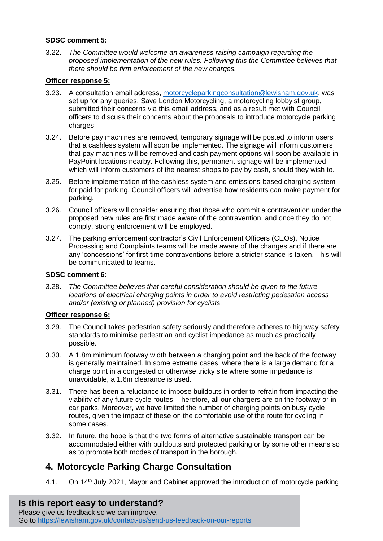#### **SDSC comment 5:**

3.22. *The Committee would welcome an awareness raising campaign regarding the proposed implementation of the new rules. Following this the Committee believes that there should be firm enforcement of the new charges.*

#### **Officer response 5:**

- 3.23. A consultation email address, [motorcycleparkingconsultation@lewisham.gov.uk,](mailto:motorcycleparkingconsultation@lewisham.gov.uk) was set up for any queries. Save London Motorcycling, a motorcycling lobbyist group, submitted their concerns via this email address, and as a result met with Council officers to discuss their concerns about the proposals to introduce motorcycle parking charges.
- 3.24. Before pay machines are removed, temporary signage will be posted to inform users that a cashless system will soon be implemented. The signage will inform customers that pay machines will be removed and cash payment options will soon be available in PayPoint locations nearby. Following this, permanent signage will be implemented which will inform customers of the nearest shops to pay by cash, should they wish to.
- 3.25. Before implementation of the cashless system and emissions-based charging system for paid for parking, Council officers will advertise how residents can make payment for parking.
- 3.26. Council officers will consider ensuring that those who commit a contravention under the proposed new rules are first made aware of the contravention, and once they do not comply, strong enforcement will be employed.
- 3.27. The parking enforcement contractor's Civil Enforcement Officers (CEOs), Notice Processing and Complaints teams will be made aware of the changes and if there are any 'concessions' for first-time contraventions before a stricter stance is taken. This will be communicated to teams.

#### **SDSC comment 6:**

3.28. *The Committee believes that careful consideration should be given to the future locations of electrical charging points in order to avoid restricting pedestrian access and/or (existing or planned) provision for cyclists.*

#### **Officer response 6:**

- 3.29. The Council takes pedestrian safety seriously and therefore adheres to highway safety standards to minimise pedestrian and cyclist impedance as much as practically possible.
- 3.30. A 1.8m minimum footway width between a charging point and the back of the footway is generally maintained. In some extreme cases, where there is a large demand for a charge point in a congested or otherwise tricky site where some impedance is unavoidable, a 1.6m clearance is used.
- 3.31. There has been a reluctance to impose buildouts in order to refrain from impacting the viability of any future cycle routes. Therefore, all our chargers are on the footway or in car parks. Moreover, we have limited the number of charging points on busy cycle routes, given the impact of these on the comfortable use of the route for cycling in some cases.
- 3.32. In future, the hope is that the two forms of alternative sustainable transport can be accommodated either with buildouts and protected parking or by some other means so as to promote both modes of transport in the borough.

### **4. Motorcycle Parking Charge Consultation**

4.1. On 14<sup>th</sup> July 2021, Mayor and Cabinet approved the introduction of motorcycle parking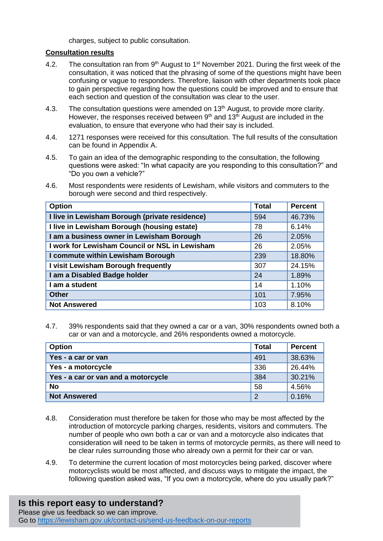charges, subject to public consultation.

#### **Consultation results**

- 4.2. The consultation ran from  $9<sup>th</sup>$  August to 1<sup>st</sup> November 2021. During the first week of the consultation, it was noticed that the phrasing of some of the questions might have been confusing or vague to responders. Therefore, liaison with other departments took place to gain perspective regarding how the questions could be improved and to ensure that each section and question of the consultation was clear to the user.
- 4.3. The consultation questions were amended on  $13<sup>th</sup>$  August, to provide more clarity. However, the responses received between  $9<sup>th</sup>$  and  $13<sup>th</sup>$  August are included in the evaluation, to ensure that everyone who had their say is included.
- 4.4. 1271 responses were received for this consultation. The full results of the consultation can be found in Appendix A.
- 4.5. To gain an idea of the demographic responding to the consultation, the following questions were asked: "In what capacity are you responding to this consultation?" and "Do you own a vehicle?"
- 4.6. Most respondents were residents of Lewisham, while visitors and commuters to the borough were second and third respectively.

| <b>Option</b>                                  | <b>Total</b> | <b>Percent</b> |
|------------------------------------------------|--------------|----------------|
| I live in Lewisham Borough (private residence) | 594          | 46.73%         |
| I live in Lewisham Borough (housing estate)    | 78           | 6.14%          |
| I am a business owner in Lewisham Borough      | 26           | 2.05%          |
| I work for Lewisham Council or NSL in Lewisham | 26           | 2.05%          |
| I commute within Lewisham Borough              | 239          | 18.80%         |
| I visit Lewisham Borough frequently            | 307          | 24.15%         |
| I am a Disabled Badge holder                   | 24           | 1.89%          |
| I am a student                                 | 14           | 1.10%          |
| <b>Other</b>                                   | 101          | 7.95%          |
| <b>Not Answered</b>                            | 103          | 8.10%          |

4.7. 39% respondents said that they owned a car or a van, 30% respondents owned both a car or van and a motorcycle, and 26% respondents owned a motorcycle.

| <b>Option</b>                       | <b>Total</b>   | <b>Percent</b> |
|-------------------------------------|----------------|----------------|
| Yes - a car or van                  | 491            | 38.63%         |
| Yes - a motorcycle                  | 336            | 26.44%         |
| Yes - a car or van and a motorcycle | 384            | 30.21%         |
| <b>No</b>                           | -58            | 4.56%          |
| <b>Not Answered</b>                 | $\overline{2}$ | 0.16%          |

- 4.8. Consideration must therefore be taken for those who may be most affected by the introduction of motorcycle parking charges, residents, visitors and commuters. The number of people who own both a car or van and a motorcycle also indicates that consideration will need to be taken in terms of motorcycle permits, as there will need to be clear rules surrounding those who already own a permit for their car or van.
- 4.9. To determine the current location of most motorcycles being parked, discover where motorcyclists would be most affected, and discuss ways to mitigate the impact, the following question asked was, "If you own a motorcycle, where do you usually park?"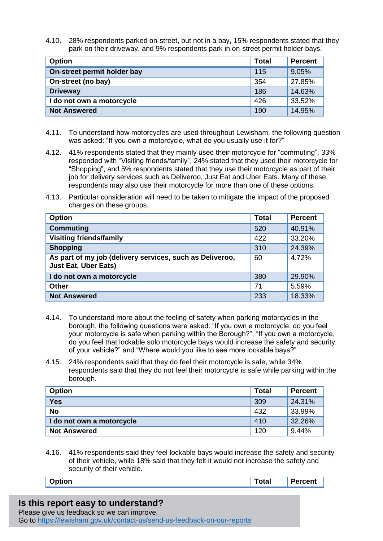4.10. 28% respondents parked on-street, but not in a bay, 15% respondents stated that they park on their driveway, and 9% respondents park in on-street permit holder bays.

| <b>Option</b>               | <b>Total</b> | <b>Percent</b> |
|-----------------------------|--------------|----------------|
| On-street permit holder bay | 115          | 9.05%          |
| On-street (no bay)          | 354          | 27.85%         |
| <b>Driveway</b>             | 186          | 14.63%         |
| I do not own a motorcycle   | 426          | 33.52%         |
| <b>Not Answered</b>         | 190          | 14.95%         |

- 4.11. To understand how motorcycles are used throughout Lewisham, the following question was asked: "If you own a motorcycle, what do you usually use it for?"
- 4.12. 41% respondents stated that they mainly used their motorcycle for "commuting", 33% responded with "Visiting friends/family", 24% stated that they used their motorcycle for "Shopping", and 5% respondents stated that they use their motorcycle as part of their job for delivery services such as Deliveroo, Just Eat and Uber Eats. Many of these respondents may also use their motorcycle for more than one of these options.
- 4.13. Particular consideration will need to be taken to mitigate the impact of the proposed charges on these groups.

| <b>Option</b>                                                                           | <b>Total</b> | <b>Percent</b> |
|-----------------------------------------------------------------------------------------|--------------|----------------|
| <b>Commuting</b>                                                                        | 520          | 40.91%         |
| <b>Visiting friends/family</b>                                                          | 422          | 33.20%         |
| <b>Shopping</b>                                                                         | 310          | 24.39%         |
| As part of my job (delivery services, such as Deliveroo,<br><b>Just Eat, Uber Eats)</b> | 60           | 4.72%          |
| I do not own a motorcycle                                                               | 380          | 29.90%         |
| <b>Other</b>                                                                            | 71           | 5.59%          |
| <b>Not Answered</b>                                                                     | 233          | 18.33%         |

- 4.14. To understand more about the feeling of safety when parking motorcycles in the borough, the following questions were asked: "If you own a motorcycle, do you feel your motorcycle is safe when parking within the Borough?", "If you own a motorcycle, do you feel that lockable solo motorcycle bays would increase the safety and security of your vehicle?" and "Where would you like to see more lockable bays?"
- 4.15. 24% respondents said that they do feel their motorcycle is safe, while 34% respondents said that they do not feel their motorcycle is safe while parking within the borough.

| <b>Option</b>             | <b>Total</b> | <b>Percent</b> |
|---------------------------|--------------|----------------|
| <b>Yes</b>                | 309          | 24.31%         |
| <b>No</b>                 | 432          | 33.99%         |
| I do not own a motorcycle | 410          | 32.26%         |
| <b>Not Answered</b>       | 120          | 9.44%          |

4.16. 41% respondents said they feel lockable bays would increase the safety and security of their vehicle, while 18% said that they felt it would not increase the safety and security of their vehicle.

**Option Total Percent**

#### **Is this report easy to understand?** Please give us feedback so we can improve.

Go to<https://lewisham.gov.uk/contact-us/send-us-feedback-on-our-reports>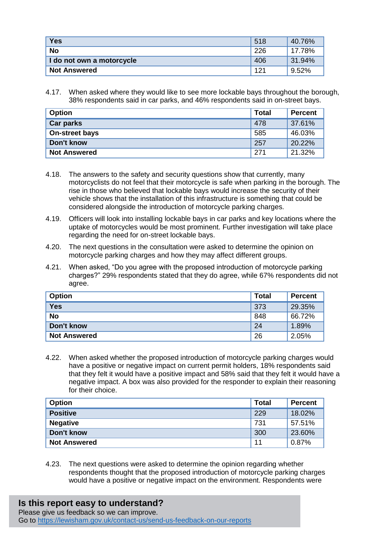| <b>Yes</b>                | 518 | 40.76%    |
|---------------------------|-----|-----------|
| <b>No</b>                 | 226 | 17.78%    |
| I do not own a motorcycle | 406 | $31.94\%$ |
| Not Answered              | 121 | 9.52%     |

4.17. When asked where they would like to see more lockable bays throughout the borough, 38% respondents said in car parks, and 46% respondents said in on-street bays.

| <b>Option</b>       | <b>Total</b> | <b>Percent</b> |
|---------------------|--------------|----------------|
| <b>Car parks</b>    | 478          | 37.61%         |
| On-street bays      | 585          | 46.03%         |
| Don't know          | 257          | 20.22%         |
| <b>Not Answered</b> | 271          | 21.32%         |

- 4.18. The answers to the safety and security questions show that currently, many motorcyclists do not feel that their motorcycle is safe when parking in the borough. The rise in those who believed that lockable bays would increase the security of their vehicle shows that the installation of this infrastructure is something that could be considered alongside the introduction of motorcycle parking charges.
- 4.19. Officers will look into installing lockable bays in car parks and key locations where the uptake of motorcycles would be most prominent. Further investigation will take place regarding the need for on-street lockable bays.
- 4.20. The next questions in the consultation were asked to determine the opinion on motorcycle parking charges and how they may affect different groups.
- 4.21. When asked, "Do you agree with the proposed introduction of motorcycle parking charges?" 29% respondents stated that they do agree, while 67% respondents did not agree.

| <b>Option</b>       | <b>Total</b> | <b>Percent</b> |
|---------------------|--------------|----------------|
| <b>Yes</b>          | 373          | 29.35%         |
| <b>No</b>           | 848          | 66.72%         |
| Don't know          | 24           | 1.89%          |
| <b>Not Answered</b> | 26           | 2.05%          |

4.22. When asked whether the proposed introduction of motorcycle parking charges would have a positive or negative impact on current permit holders, 18% respondents said that they felt it would have a positive impact and 58% said that they felt it would have a negative impact. A box was also provided for the responder to explain their reasoning for their choice.

| <b>Option</b>       | <b>Total</b> | <b>Percent</b> |
|---------------------|--------------|----------------|
| <b>Positive</b>     | 229          | 18.02%         |
| <b>Negative</b>     | 731          | 57.51%         |
| Don't know          | 300          | 23.60%         |
| <b>Not Answered</b> | 11           | 0.87%          |

4.23. The next questions were asked to determine the opinion regarding whether respondents thought that the proposed introduction of motorcycle parking charges would have a positive or negative impact on the environment. Respondents were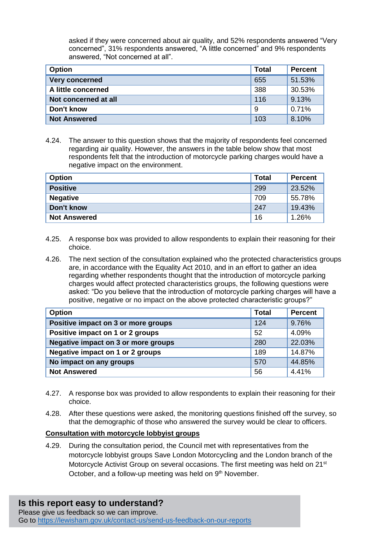asked if they were concerned about air quality, and 52% respondents answered "Very concerned", 31% respondents answered, "A little concerned" and 9% respondents answered, "Not concerned at all".

| <b>Option</b>         | <b>Total</b> | <b>Percent</b> |
|-----------------------|--------------|----------------|
| <b>Very concerned</b> | 655          | 51.53%         |
| A little concerned    | 388          | 30.53%         |
| Not concerned at all  | 116          | 9.13%          |
| Don't know            | -9           | 0.71%          |
| <b>Not Answered</b>   | 103          | 8.10%          |

4.24. The answer to this question shows that the majority of respondents feel concerned regarding air quality. However, the answers in the table below show that most respondents felt that the introduction of motorcycle parking charges would have a negative impact on the environment.

| <b>Option</b>       | <b>Total</b> | <b>Percent</b> |
|---------------------|--------------|----------------|
| <b>Positive</b>     | 299          | 23.52%         |
| <b>Negative</b>     | 709          | 55.78%         |
| Don't know          | 247          | 19.43%         |
| <b>Not Answered</b> | 16           | 1.26%          |

- 4.25. A response box was provided to allow respondents to explain their reasoning for their choice.
- 4.26. The next section of the consultation explained who the protected characteristics groups are, in accordance with the Equality Act 2010, and in an effort to gather an idea regarding whether respondents thought that the introduction of motorcycle parking charges would affect protected characteristics groups, the following questions were asked: "Do you believe that the introduction of motorcycle parking charges will have a positive, negative or no impact on the above protected characteristic groups?"

| <b>Option</b>                       | <b>Total</b> | <b>Percent</b> |
|-------------------------------------|--------------|----------------|
| Positive impact on 3 or more groups | 124          | 9.76%          |
| Positive impact on 1 or 2 groups    | 52           | 4.09%          |
| Negative impact on 3 or more groups | 280          | 22.03%         |
| Negative impact on 1 or 2 groups    | 189          | 14.87%         |
| No impact on any groups             | 570          | 44.85%         |
| <b>Not Answered</b>                 | 56           | 4.41%          |

- 4.27. A response box was provided to allow respondents to explain their reasoning for their choice.
- 4.28. After these questions were asked, the monitoring questions finished off the survey, so that the demographic of those who answered the survey would be clear to officers.

#### **Consultation with motorcycle lobbyist groups**

4.29. During the consultation period, the Council met with representatives from the motorcycle lobbyist groups Save London Motorcycling and the London branch of the Motorcycle Activist Group on several occasions. The first meeting was held on 21<sup>st</sup> October, and a follow-up meeting was held on 9<sup>th</sup> November.

### **Is this report easy to understand?**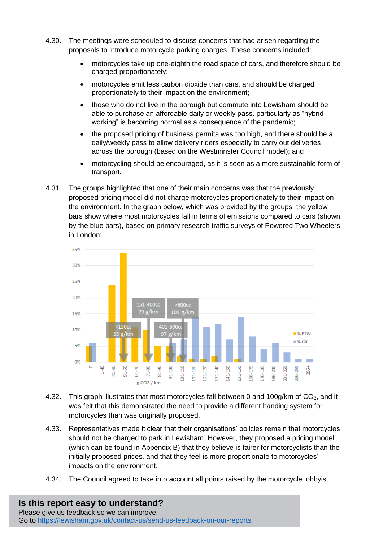- 4.30. The meetings were scheduled to discuss concerns that had arisen regarding the proposals to introduce motorcycle parking charges. These concerns included:
	- motorcycles take up one-eighth the road space of cars, and therefore should be charged proportionately;
	- motorcycles emit less carbon dioxide than cars, and should be charged proportionately to their impact on the environment;
	- those who do not live in the borough but commute into Lewisham should be able to purchase an affordable daily or weekly pass, particularly as "hybridworking" is becoming normal as a consequence of the pandemic;
	- the proposed pricing of business permits was too high, and there should be a daily/weekly pass to allow delivery riders especially to carry out deliveries across the borough (based on the Westminster Council model); and
	- motorcycling should be encouraged, as it is seen as a more sustainable form of transport.
- 4.31. The groups highlighted that one of their main concerns was that the previously proposed pricing model did not charge motorcycles proportionately to their impact on the environment. In the graph below, which was provided by the groups, the yellow bars show where most motorcycles fall in terms of emissions compared to cars (shown by the blue bars), based on primary research traffic surveys of Powered Two Wheelers in London:



- 4.32. This graph illustrates that most motorcycles fall between 0 and 100g/km of  $CO<sub>2</sub>$ , and it was felt that this demonstrated the need to provide a different banding system for motorcycles than was originally proposed.
- 4.33. Representatives made it clear that their organisations' policies remain that motorcycles should not be charged to park in Lewisham. However, they proposed a pricing model (which can be found in Appendix B) that they believe is fairer for motorcyclists than the initially proposed prices, and that they feel is more proportionate to motorcycles' impacts on the environment.
- 4.34. The Council agreed to take into account all points raised by the motorcycle lobbyist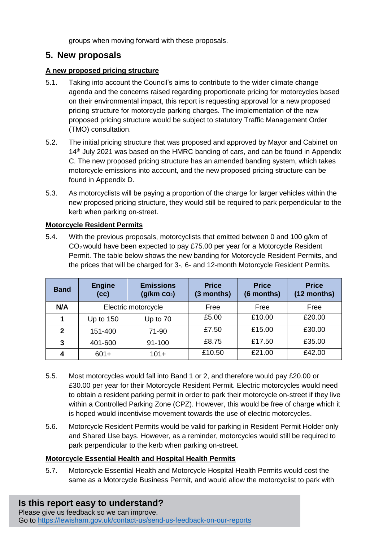groups when moving forward with these proposals.

### **5. New proposals**

### **A new proposed pricing structure**

- 5.1. Taking into account the Council's aims to contribute to the wider climate change agenda and the concerns raised regarding proportionate pricing for motorcycles based on their environmental impact, this report is requesting approval for a new proposed pricing structure for motorcycle parking charges. The implementation of the new proposed pricing structure would be subject to statutory Traffic Management Order (TMO) consultation.
- 5.2. The initial pricing structure that was proposed and approved by Mayor and Cabinet on 14<sup>th</sup> July 2021 was based on the HMRC banding of cars, and can be found in Appendix C. The new proposed pricing structure has an amended banding system, which takes motorcycle emissions into account, and the new proposed pricing structure can be found in Appendix D.
- 5.3. As motorcyclists will be paying a proportion of the charge for larger vehicles within the new proposed pricing structure, they would still be required to park perpendicular to the kerb when parking on-street.

### **Motorcycle Resident Permits**

5.4. With the previous proposals, motorcyclists that emitted between 0 and 100 g/km of CO<sup>2</sup> would have been expected to pay £75.00 per year for a Motorcycle Resident Permit. The table below shows the new banding for Motorcycle Resident Permits, and the prices that will be charged for 3-, 6- and 12-month Motorcycle Resident Permits.

| <b>Band</b>  | <b>Engine</b><br>(cc) | <b>Emissions</b><br>(g/km CO <sub>2</sub> ) | <b>Price</b><br>$(3$ months) | <b>Price</b><br>(6 months) | <b>Price</b><br>(12 months) |
|--------------|-----------------------|---------------------------------------------|------------------------------|----------------------------|-----------------------------|
| N/A          | Electric motorcycle   |                                             | Free                         | Free                       | Free                        |
| 1            | Up to $150$           | Up to 70                                    | £5.00                        | £10.00                     | £20.00                      |
| $\mathbf{2}$ | 151-400               | 71-90                                       | £7.50                        | £15.00                     | £30.00                      |
| 3            | 401-600               | 91-100                                      | £8.75                        | £17.50                     | £35.00                      |
| 4            | $601+$                | $101+$                                      | £10.50                       | £21.00                     | £42.00                      |

- 5.5. Most motorcycles would fall into Band 1 or 2, and therefore would pay £20.00 or £30.00 per year for their Motorcycle Resident Permit. Electric motorcycles would need to obtain a resident parking permit in order to park their motorcycle on-street if they live within a Controlled Parking Zone (CPZ). However, this would be free of charge which it is hoped would incentivise movement towards the use of electric motorcycles.
- 5.6. Motorcycle Resident Permits would be valid for parking in Resident Permit Holder only and Shared Use bays. However, as a reminder, motorcycles would still be required to park perpendicular to the kerb when parking on-street.

### **Motorcycle Essential Health and Hospital Health Permits**

5.7. Motorcycle Essential Health and Motorcycle Hospital Health Permits would cost the same as a Motorcycle Business Permit, and would allow the motorcyclist to park with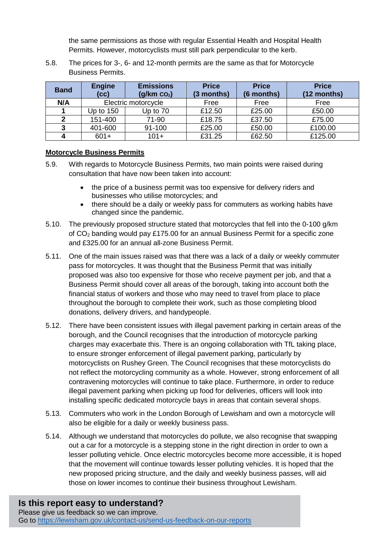the same permissions as those with regular Essential Health and Hospital Health Permits. However, motorcyclists must still park perpendicular to the kerb.

5.8. The prices for 3-, 6- and 12-month permits are the same as that for Motorcycle Business Permits.

| <b>Band</b> | <b>Engine</b><br>(cc) | <b>Emissions</b><br>(g/km CO <sub>2</sub> ) | <b>Price</b><br>(3 months) | <b>Price</b><br>(6 months) | <b>Price</b><br>(12 months) |
|-------------|-----------------------|---------------------------------------------|----------------------------|----------------------------|-----------------------------|
| N/A         |                       | Electric motorcycle                         | Free                       | Free                       | Free                        |
|             | Up to 150             | Up to 70                                    | £12.50                     | £25.00                     | £50.00                      |
| 2           | 151-400               | 71-90                                       | £18.75                     | £37.50                     | £75.00                      |
| 3           | 401-600               | 91-100                                      | £25.00                     | £50.00                     | £100.00                     |
|             | $601+$                | $101+$                                      | £31.25                     | £62.50                     | £125.00                     |

#### **Motorcycle Business Permits**

- 5.9. With regards to Motorcycle Business Permits, two main points were raised during consultation that have now been taken into account:
	- the price of a business permit was too expensive for delivery riders and businesses who utilise motorcycles; and
	- there should be a daily or weekly pass for commuters as working habits have changed since the pandemic.
- 5.10. The previously proposed structure stated that motorcycles that fell into the 0-100 g/km of CO<sup>2</sup> banding would pay £175.00 for an annual Business Permit for a specific zone and £325.00 for an annual all-zone Business Permit.
- 5.11. One of the main issues raised was that there was a lack of a daily or weekly commuter pass for motorcycles. It was thought that the Business Permit that was initially proposed was also too expensive for those who receive payment per job, and that a Business Permit should cover all areas of the borough, taking into account both the financial status of workers and those who may need to travel from place to place throughout the borough to complete their work, such as those completing blood donations, delivery drivers, and handypeople.
- 5.12. There have been consistent issues with illegal pavement parking in certain areas of the borough, and the Council recognises that the introduction of motorcycle parking charges may exacerbate this. There is an ongoing collaboration with TfL taking place, to ensure stronger enforcement of illegal pavement parking, particularly by motorcyclists on Rushey Green. The Council recognises that these motorcyclists do not reflect the motorcycling community as a whole. However, strong enforcement of all contravening motorcycles will continue to take place. Furthermore, in order to reduce illegal pavement parking when picking up food for deliveries, officers will look into installing specific dedicated motorcycle bays in areas that contain several shops.
- 5.13. Commuters who work in the London Borough of Lewisham and own a motorcycle will also be eligible for a daily or weekly business pass.
- 5.14. Although we understand that motorcycles do pollute, we also recognise that swapping out a car for a motorcycle is a stepping stone in the right direction in order to own a lesser polluting vehicle. Once electric motorcycles become more accessible, it is hoped that the movement will continue towards lesser polluting vehicles. It is hoped that the new proposed pricing structure, and the daily and weekly business passes, will aid those on lower incomes to continue their business throughout Lewisham.

# **Is this report easy to understand?**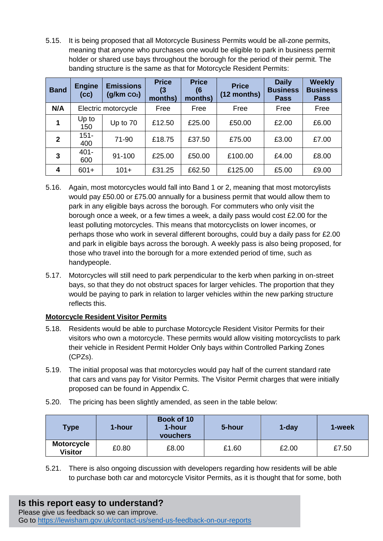5.15. It is being proposed that all Motorcycle Business Permits would be all-zone permits, meaning that anyone who purchases one would be eligible to park in business permit holder or shared use bays throughout the borough for the period of their permit. The banding structure is the same as that for Motorcycle Resident Permits:

| <b>Band</b>    | <b>Engine</b><br>(cc) | <b>Emissions</b><br>(g/km CO <sub>2</sub> ) | <b>Price</b><br>$\sqrt{3}$<br>months) | <b>Price</b><br>(6)<br>months) | <b>Price</b><br>$(12$ months) | <b>Daily</b><br><b>Business</b><br><b>Pass</b> | <b>Weekly</b><br><b>Business</b><br><b>Pass</b> |
|----------------|-----------------------|---------------------------------------------|---------------------------------------|--------------------------------|-------------------------------|------------------------------------------------|-------------------------------------------------|
| N/A            |                       | Electric motorcycle                         | Free                                  | Free                           | Free                          | Free                                           | Free                                            |
| 1              | Up to<br>150          | Up to 70                                    | £12.50                                | £25.00                         | £50.00                        | £2.00                                          | £6.00                                           |
| $\overline{2}$ | $151 -$<br>400        | 71-90                                       | £18.75                                | £37.50                         | £75.00                        | £3.00                                          | £7.00                                           |
| $\mathbf{3}$   | $401 -$<br>600        | 91-100                                      | £25.00                                | £50.00                         | £100.00                       | £4.00                                          | £8.00                                           |
| 4              | $601+$                | $101+$                                      | £31.25                                | £62.50                         | £125.00                       | £5.00                                          | £9.00                                           |

- 5.16. Again, most motorcycles would fall into Band 1 or 2, meaning that most motorcylists would pay £50.00 or £75.00 annually for a business permit that would allow them to park in any eligible bays across the borough. For commuters who only visit the borough once a week, or a few times a week, a daily pass would cost £2.00 for the least polluting motorcycles. This means that motorcyclists on lower incomes, or perhaps those who work in several different boroughs, could buy a daily pass for £2.00 and park in eligible bays across the borough. A weekly pass is also being proposed, for those who travel into the borough for a more extended period of time, such as handypeople.
- 5.17. Motorcycles will still need to park perpendicular to the kerb when parking in on-street bays, so that they do not obstruct spaces for larger vehicles. The proportion that they would be paying to park in relation to larger vehicles within the new parking structure reflects this.

### **Motorcycle Resident Visitor Permits**

- 5.18. Residents would be able to purchase Motorcycle Resident Visitor Permits for their visitors who own a motorcycle. These permits would allow visiting motorcyclists to park their vehicle in Resident Permit Holder Only bays within Controlled Parking Zones (CPZs).
- 5.19. The initial proposal was that motorcycles would pay half of the current standard rate that cars and vans pay for Visitor Permits. The Visitor Permit charges that were initially proposed can be found in Appendix C.
- 5.20. The pricing has been slightly amended, as seen in the table below:

| <b>Type</b>                         | 1-hour | Book of 10<br>1-hour<br>vouchers | 5-hour | 1-day | 1-week |
|-------------------------------------|--------|----------------------------------|--------|-------|--------|
| <b>Motorcycle</b><br><b>Visitor</b> | £0.80  | £8.00                            | £1.60  | £2.00 | £7.50  |

5.21. There is also ongoing discussion with developers regarding how residents will be able to purchase both car and motorcycle Visitor Permits, as it is thought that for some, both

### **Is this report easy to understand?** Please give us feedback so we can improve.

Go to<https://lewisham.gov.uk/contact-us/send-us-feedback-on-our-reports>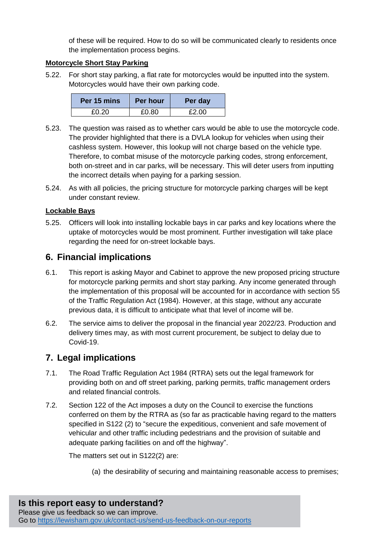of these will be required. How to do so will be communicated clearly to residents once the implementation process begins.

### **Motorcycle Short Stay Parking**

5.22. For short stay parking, a flat rate for motorcycles would be inputted into the system. Motorcycles would have their own parking code.

| Per 15 mins | <b>Per hour</b> | Per day |
|-------------|-----------------|---------|
| £0.20       | £0.80           | £2.00   |

- 5.23. The question was raised as to whether cars would be able to use the motorcycle code. The provider highlighted that there is a DVLA lookup for vehicles when using their cashless system. However, this lookup will not charge based on the vehicle type. Therefore, to combat misuse of the motorcycle parking codes, strong enforcement, both on-street and in car parks, will be necessary. This will deter users from inputting the incorrect details when paying for a parking session.
- 5.24. As with all policies, the pricing structure for motorcycle parking charges will be kept under constant review.

### **Lockable Bays**

5.25. Officers will look into installing lockable bays in car parks and key locations where the uptake of motorcycles would be most prominent. Further investigation will take place regarding the need for on-street lockable bays.

### **6. Financial implications**

- 6.1. This report is asking Mayor and Cabinet to approve the new proposed pricing structure for motorcycle parking permits and short stay parking. Any income generated through the implementation of this proposal will be accounted for in accordance with section 55 of the Traffic Regulation Act (1984). However, at this stage, without any accurate previous data, it is difficult to anticipate what that level of income will be.
- 6.2. The service aims to deliver the proposal in the financial year 2022/23. Production and delivery times may, as with most current procurement, be subject to delay due to Covid-19.

### **7. Legal implications**

- 7.1. The Road Traffic Regulation Act 1984 (RTRA) sets out the legal framework for providing both on and off street parking, parking permits, traffic management orders and related financial controls.
- 7.2. Section 122 of the Act imposes a duty on the Council to exercise the functions conferred on them by the RTRA as (so far as practicable having regard to the matters specified in S122 (2) to "secure the expeditious, convenient and safe movement of vehicular and other traffic including pedestrians and the provision of suitable and adequate parking facilities on and off the highway".

The matters set out in S122(2) are:

(a) the desirability of securing and maintaining reasonable access to premises;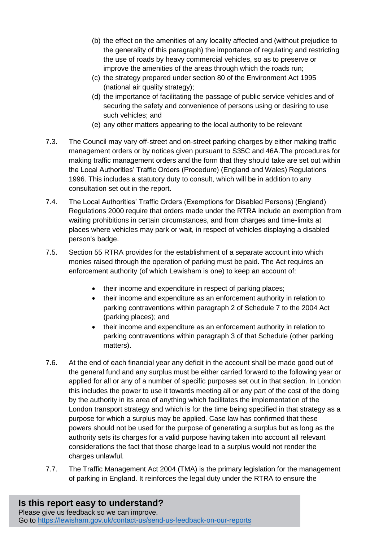- (b) the effect on the amenities of any locality affected and (without prejudice to the generality of this paragraph) the importance of regulating and restricting the use of roads by heavy commercial vehicles, so as to preserve or improve the amenities of the areas through which the roads run;
- (c) the strategy prepared under section 80 of the Environment Act 1995 (national air quality strategy);
- (d) the importance of facilitating the passage of public service vehicles and of securing the safety and convenience of persons using or desiring to use such vehicles; and
- (e) any other matters appearing to the local authority to be relevant
- 7.3. The Council may vary off-street and on-street parking charges by either making traffic management orders or by notices given pursuant to S35C and 46A.The procedures for making traffic management orders and the form that they should take are set out within the Local Authorities' Traffic Orders (Procedure) (England and Wales) Regulations 1996. This includes a statutory duty to consult, which will be in addition to any consultation set out in the report.
- 7.4. The Local Authorities' Traffic Orders (Exemptions for Disabled Persons) (England) Regulations 2000 require that orders made under the RTRA include an exemption from waiting prohibitions in certain circumstances, and from charges and time-limits at places where vehicles may park or wait, in respect of vehicles displaying a disabled person's badge.
- 7.5. Section 55 RTRA provides for the establishment of a separate account into which monies raised through the operation of parking must be paid. The Act requires an enforcement authority (of which Lewisham is one) to keep an account of:
	- their income and expenditure in respect of parking places;
	- their income and expenditure as an enforcement authority in relation to parking contraventions within paragraph 2 of Schedule 7 to the 2004 Act (parking places); and
	- their income and expenditure as an enforcement authority in relation to parking contraventions within paragraph 3 of that Schedule (other parking matters).
- 7.6. At the end of each financial year any deficit in the account shall be made good out of the general fund and any surplus must be either carried forward to the following year or applied for all or any of a number of specific purposes set out in that section. In London this includes the power to use it towards meeting all or any part of the cost of the doing by the authority in its area of anything which facilitates the implementation of the London transport strategy and which is for the time being specified in that strategy as a purpose for which a surplus may be applied. Case law has confirmed that these powers should not be used for the purpose of generating a surplus but as long as the authority sets its charges for a valid purpose having taken into account all relevant considerations the fact that those charge lead to a surplus would not render the charges unlawful.
- 7.7. The Traffic Management Act 2004 (TMA) is the primary legislation for the management of parking in England. It reinforces the legal duty under the RTRA to ensure the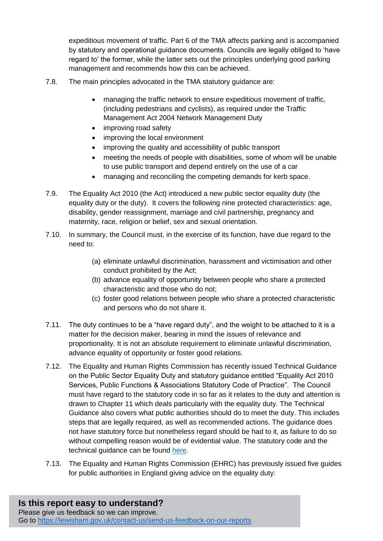expeditious movement of traffic. Part 6 of the TMA affects parking and is accompanied by statutory and operational guidance documents. Councils are legally obliged to 'have regard to' the former, while the latter sets out the principles underlying good parking management and recommends how this can be achieved.

- 7.8. The main principles advocated in the TMA statutory guidance are:
	- managing the traffic network to ensure expeditious movement of traffic, (including pedestrians and cyclists), as required under the Traffic Management Act 2004 Network Management Duty
	- improving road safety
	- improving the local environment
	- improving the quality and accessibility of public transport
	- meeting the needs of people with disabilities, some of whom will be unable to use public transport and depend entirely on the use of a car
	- managing and reconciling the competing demands for kerb space.
- 7.9. The Equality Act 2010 (the Act) introduced a new public sector equality duty (the equality duty or the duty). It covers the following nine protected characteristics: age, disability, gender reassignment, marriage and civil partnership, pregnancy and maternity, race, religion or belief, sex and sexual orientation.
- 7.10. In summary, the Council must, in the exercise of its function, have due regard to the need to:
	- (a) eliminate unlawful discrimination, harassment and victimisation and other conduct prohibited by the Act;
	- (b) advance equality of opportunity between people who share a protected characteristic and those who do not;
	- (c) foster good relations between people who share a protected characteristic and persons who do not share it.
- 7.11. The duty continues to be a "have regard duty", and the weight to be attached to it is a matter for the decision maker, bearing in mind the issues of relevance and proportionality. It is not an absolute requirement to eliminate unlawful discrimination, advance equality of opportunity or foster good relations.
- 7.12. The Equality and Human Rights Commission has recently issued Technical Guidance on the Public Sector Equality Duty and statutory guidance entitled "Equality Act 2010 Services, Public Functions & Associations Statutory Code of Practice". The Council must have regard to the statutory code in so far as it relates to the duty and attention is drawn to Chapter 11 which deals particularly with the equality duty. The Technical Guidance also covers what public authorities should do to meet the duty. This includes steps that are legally required, as well as recommended actions. The guidance does not have statutory force but nonetheless regard should be had to it, as failure to do so without compelling reason would be of evidential value. The statutory code and the technical guidance can be found [here.](https://www.equalityhumanrights.com/en/publication-download/technical-guidance-public-sector-equality-duty-england)
- 7.13. The Equality and Human Rights Commission (EHRC) has previously issued five guides for public authorities in England giving advice on the equality duty: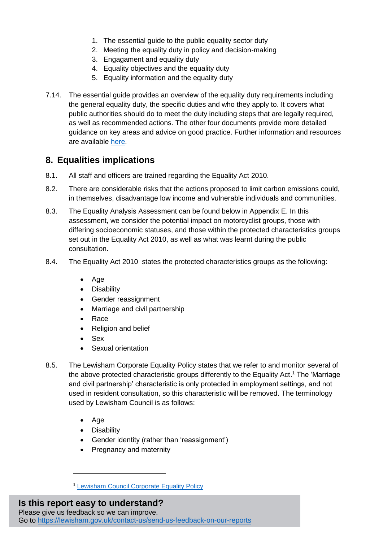- 1. The essential guide to the public equality sector duty
- 2. Meeting the equality duty in policy and decision-making
- 3. Engagament and equality duty
- 4. Equality objectives and the equality duty
- 5. Equality information and the equality duty
- 7.14. The essential guide provides an overview of the equality duty requirements including the general equality duty, the specific duties and who they apply to. It covers what public authorities should do to meet the duty including steps that are legally required, as well as recommended actions. The other four documents provide more detailed guidance on key areas and advice on good practice. Further information and resources are available [here.](https://www.equalityhumanrights.com/en/advice-and-guidance/public-sector-equality-duty-guidance)

### **8. Equalities implications**

- 8.1. All staff and officers are trained regarding the Equality Act 2010.
- 8.2. There are considerable risks that the actions proposed to limit carbon emissions could, in themselves, disadvantage low income and vulnerable individuals and communities.
- 8.3. The Equality Analysis Assessment can be found below in Appendix E. In this assessment, we consider the potential impact on motorcyclist groups, those with differing socioeconomic statuses, and those within the protected characteristics groups set out in the Equality Act 2010, as well as what was learnt during the public consultation.
- 8.4. The Equality Act 2010 states the protected characteristics groups as the following:
	- Age
	- Disability
	- Gender reassignment
	- Marriage and civil partnership
	- Race
	- Religion and belief
	- Sex
	- Sexual orientation
- 8.5. The Lewisham Corporate Equality Policy states that we refer to and monitor several of the above protected characteristic groups differently to the Equality Act. <sup>1</sup> The 'Marriage and civil partnership' characteristic is only protected in employment settings, and not used in resident consultation, so this characteristic will be removed. The terminology used by Lewisham Council is as follows:
	- $\bullet$  Age

- Disability
- Gender identity (rather than 'reassignment')
- Pregnancy and maternity

**<sup>1</sup>** [Lewisham Council Corporate Equality Policy](https://consultation.lewisham.gov.uk/++preview++/corporate-policy-and-governance/85eef074/user_uploads/corporate-equality-policy-v2018.pdf)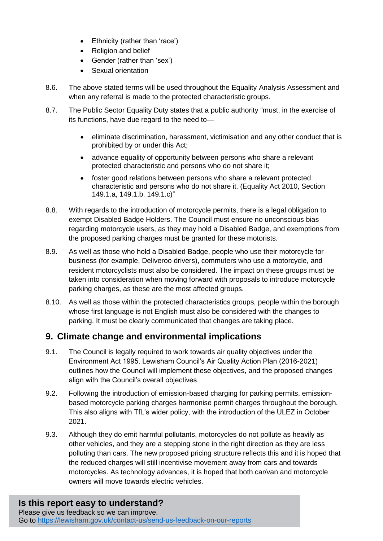- Ethnicity (rather than 'race')
- Religion and belief
- Gender (rather than 'sex')
- Sexual orientation
- 8.6. The above stated terms will be used throughout the Equality Analysis Assessment and when any referral is made to the protected characteristic groups.
- 8.7. The Public Sector Equality Duty states that a public authority "must, in the exercise of its functions, have due regard to the need to
	- eliminate discrimination, harassment, victimisation and any other conduct that is prohibited by or under this Act;
	- advance equality of opportunity between persons who share a relevant protected characteristic and persons who do not share it;
	- foster good relations between persons who share a relevant protected characteristic and persons who do not share it. (Equality Act 2010, Section 149.1.a, 149.1.b, 149.1.c)"
- 8.8. With regards to the introduction of motorcycle permits, there is a legal obligation to exempt Disabled Badge Holders. The Council must ensure no unconscious bias regarding motorcycle users, as they may hold a Disabled Badge, and exemptions from the proposed parking charges must be granted for these motorists.
- 8.9. As well as those who hold a Disabled Badge, people who use their motorcycle for business (for example, Deliveroo drivers), commuters who use a motorcycle, and resident motorcyclists must also be considered. The impact on these groups must be taken into consideration when moving forward with proposals to introduce motorcycle parking charges, as these are the most affected groups.
- 8.10. As well as those within the protected characteristics groups, people within the borough whose first language is not English must also be considered with the changes to parking. It must be clearly communicated that changes are taking place.

### **9. Climate change and environmental implications**

- 9.1. The Council is legally required to work towards air quality objectives under the Environment Act 1995. Lewisham Council's Air Quality Action Plan (2016-2021) outlines how the Council will implement these objectives, and the proposed changes align with the Council's overall objectives.
- 9.2. Following the introduction of emission-based charging for parking permits, emissionbased motorcycle parking charges harmonise permit charges throughout the borough. This also aligns with TfL's wider policy, with the introduction of the ULEZ in October 2021.
- 9.3. Although they do emit harmful pollutants, motorcycles do not pollute as heavily as other vehicles, and they are a stepping stone in the right direction as they are less polluting than cars. The new proposed pricing structure reflects this and it is hoped that the reduced charges will still incentivise movement away from cars and towards motorcycles. As technology advances, it is hoped that both car/van and motorcycle owners will move towards electric vehicles.

# **Is this report easy to understand?**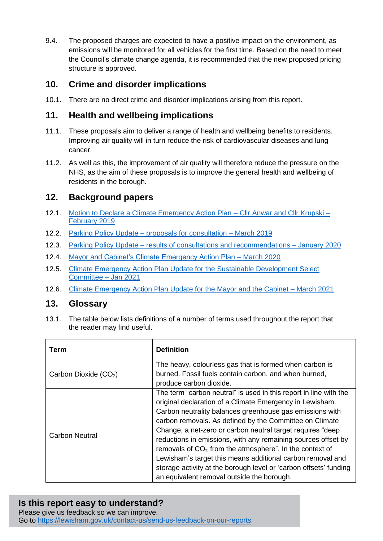9.4. The proposed charges are expected to have a positive impact on the environment, as emissions will be monitored for all vehicles for the first time. Based on the need to meet the Council's climate change agenda, it is recommended that the new proposed pricing structure is approved.

### **10. Crime and disorder implications**

10.1. There are no direct crime and disorder implications arising from this report.

### **11. Health and wellbeing implications**

- 11.1. These proposals aim to deliver a range of health and wellbeing benefits to residents. Improving air quality will in turn reduce the risk of cardiovascular diseases and lung cancer.
- 11.2. As well as this, the improvement of air quality will therefore reduce the pressure on the NHS, as the aim of these proposals is to improve the general health and wellbeing of residents in the borough.

### **12. Background papers**

- 12.1. [Motion to Declare a Climate Emergency Action Plan –](https://councilmeetings.lewisham.gov.uk/documents/s62942/Motion%202%20proposed%20Cllr%20Anwar%20seconded%20Cllr%20Krupski.pdf) Cllr Anwar and Cllr Krupski [February 2019](https://councilmeetings.lewisham.gov.uk/documents/s62942/Motion%202%20proposed%20Cllr%20Anwar%20seconded%20Cllr%20Krupski.pdf)
- 12.2. Parking Policy Update [proposals for consultation –](file://10.221.212.61/UserData$/Documents/XDavies/My%20Documents/Personal/Reports/Cabinet%20report/NEW%20-%20based%20on%20previous%20parking%20policy%20update%20proposal%20report/Parking%20Policy%20update%20-%20Proposals%20for%20consultation%20-%20March%202019.pdf) March 2019
- 12.3. Parking Policy Update [results of consultations and recommendations –](file://10.221.212.61/UserData$/Documents/XDavies/My%20Documents/Personal/Reports/Cabinet%20report/NEW%20-%20based%20on%20previous%20parking%20policy%20update%20proposal%20report/Parking%20Policy%20update%20-%20Consultation%20results%20and%20recommendations%20-%20Jan%202020.pdf) January 2020
- 12.4. Mayor and [Cabinet's Climate Emergency Action Plan –](https://councilmeetings.lewisham.gov.uk/documents/s72555/Climate%20Emergency%20Action%20Plan.pdf) March 2020
- 12.5. [Climate Emergency Action Plan Update for the Sustainable Development Select](https://councilmeetings.lewisham.gov.uk/documents/s76821/04%20Climate%20emergency%20action%20plan%20140121.pdf) [Committee –](https://councilmeetings.lewisham.gov.uk/documents/s76821/04%20Climate%20emergency%20action%20plan%20140121.pdf) Jan 2021
- 12.6. [Climate Emergency Action Plan Update for the Mayor and the Cabinet –](https://councilmeetings.lewisham.gov.uk/documents/s78637/Lewishams%20Climate%20Emergency%20Action%20Plan.pdf) March 2021

### **13. Glossary**

13.1. The table below lists definitions of a number of terms used throughout the report that the reader may find useful.

| Term                              | <b>Definition</b>                                                 |
|-----------------------------------|-------------------------------------------------------------------|
|                                   | The heavy, colourless gas that is formed when carbon is           |
| Carbon Dioxide (CO <sub>2</sub> ) | burned. Fossil fuels contain carbon, and when burned,             |
|                                   | produce carbon dioxide.                                           |
|                                   | The term "carbon neutral" is used in this report in line with the |
|                                   | original declaration of a Climate Emergency in Lewisham.          |
|                                   | Carbon neutrality balances greenhouse gas emissions with          |
|                                   | carbon removals. As defined by the Committee on Climate           |
|                                   | Change, a net-zero or carbon neutral target requires "deep"       |
| <b>Carbon Neutral</b>             | reductions in emissions, with any remaining sources offset by     |
|                                   | removals of $CO2$ from the atmosphere". In the context of         |
|                                   | Lewisham's target this means additional carbon removal and        |
|                                   | storage activity at the borough level or 'carbon offsets' funding |
|                                   | an equivalent removal outside the borough.                        |

### **Is this report easy to understand?**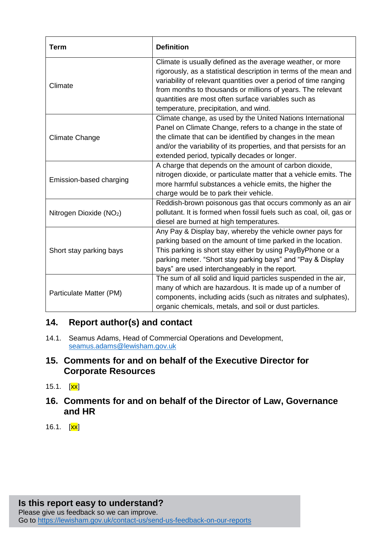| <b>Term</b>                         | <b>Definition</b>                                                                                                                                                                                                                                                                                                                                                  |
|-------------------------------------|--------------------------------------------------------------------------------------------------------------------------------------------------------------------------------------------------------------------------------------------------------------------------------------------------------------------------------------------------------------------|
| Climate                             | Climate is usually defined as the average weather, or more<br>rigorously, as a statistical description in terms of the mean and<br>variability of relevant quantities over a period of time ranging<br>from months to thousands or millions of years. The relevant<br>quantities are most often surface variables such as<br>temperature, precipitation, and wind. |
| <b>Climate Change</b>               | Climate change, as used by the United Nations International<br>Panel on Climate Change, refers to a change in the state of<br>the climate that can be identified by changes in the mean<br>and/or the variability of its properties, and that persists for an<br>extended period, typically decades or longer.                                                     |
| Emission-based charging             | A charge that depends on the amount of carbon dioxide,<br>nitrogen dioxide, or particulate matter that a vehicle emits. The<br>more harmful substances a vehicle emits, the higher the<br>charge would be to park their vehicle.                                                                                                                                   |
| Nitrogen Dioxide (NO <sub>2</sub> ) | Reddish-brown poisonous gas that occurs commonly as an air<br>pollutant. It is formed when fossil fuels such as coal, oil, gas or<br>diesel are burned at high temperatures.                                                                                                                                                                                       |
| Short stay parking bays             | Any Pay & Display bay, whereby the vehicle owner pays for<br>parking based on the amount of time parked in the location.<br>This parking is short stay either by using PayByPhone or a<br>parking meter. "Short stay parking bays" and "Pay & Display<br>bays" are used interchangeably in the report.                                                             |
| Particulate Matter (PM)             | The sum of all solid and liquid particles suspended in the air,<br>many of which are hazardous. It is made up of a number of<br>components, including acids (such as nitrates and sulphates),<br>organic chemicals, metals, and soil or dust particles.                                                                                                            |

# **14. Report author(s) and contact**

14.1. Seamus Adams, Head of Commercial Operations and Development, [seamus.adams@lewisham.gov.uk](mailto:seamus.adams@lewisham.gov.uk)

### **15. Comments for and on behalf of the Executive Director for Corporate Resources**

- 15.1. [<mark>xx</mark>]
- **16. Comments for and on behalf of the Director of Law, Governance and HR**
- 16.1.  $[xx]$